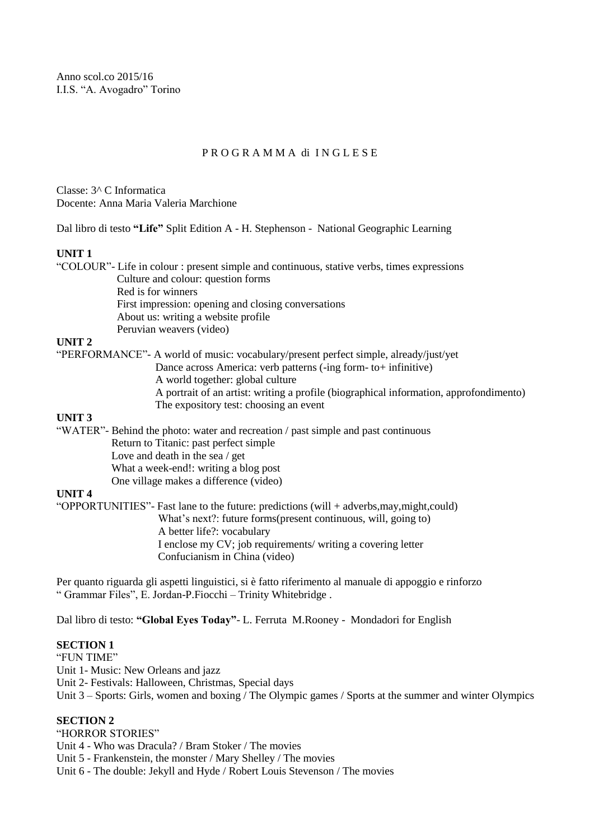Anno scol.co 2015/16 I.I.S. "A. Avogadro" Torino

### P R O G R A M M A di I N G L E S E

Classe: 3^ C Informatica Docente: Anna Maria Valeria Marchione

Dal libro di testo **"Life"** Split Edition A - H. Stephenson - National Geographic Learning

#### **UNIT 1**

|         | "COLOUR" - Life in colour : present simple and continuous, stative verbs, times expressions |
|---------|---------------------------------------------------------------------------------------------|
|         | Culture and colour: question forms                                                          |
|         | Red is for winners                                                                          |
|         | First impression: opening and closing conversations                                         |
|         | About us: writing a website profile                                                         |
|         | Peruvian weavers (video)                                                                    |
| IINIT 2 |                                                                                             |

### **UNIT 2**

"PERFORMANCE"- A world of music: vocabulary/present perfect simple, already/just/yet Dance across America: verb patterns (-ing form- to+ infinitive)

- A world together: global culture
- A portrait of an artist: writing a profile (biographical information, approfondimento) The expository test: choosing an event

#### **UNIT 3**

"WATER"- Behind the photo: water and recreation / past simple and past continuous Return to Titanic: past perfect simple Love and death in the sea / get

What a week-end!: writing a blog post

One village makes a difference (video)

#### **UNIT 4**

"OPPORTUNITIES"- Fast lane to the future: predictions (will + adverbs,may,might,could) What's next?: future forms(present continuous, will, going to) A better life?: vocabulary I enclose my CV; job requirements/ writing a covering letter Confucianism in China (video)

Per quanto riguarda gli aspetti linguistici, si è fatto riferimento al manuale di appoggio e rinforzo " Grammar Files", E. Jordan-P.Fiocchi – Trinity Whitebridge .

Dal libro di testo: **"Global Eyes Today"**- L. Ferruta M.Rooney - Mondadori for English

## **SECTION 1**

"FUN TIME"

Unit 1- Music: New Orleans and jazz

Unit 2- Festivals: Halloween, Christmas, Special days

Unit 3 – Sports: Girls, women and boxing / The Olympic games / Sports at the summer and winter Olympics

# **SECTION 2**

"HORROR STORIES"

Unit 4 - Who was Dracula? / Bram Stoker / The movies

Unit 5 - Frankenstein, the monster / Mary Shelley / The movies

Unit 6 - The double: Jekyll and Hyde / Robert Louis Stevenson / The movies